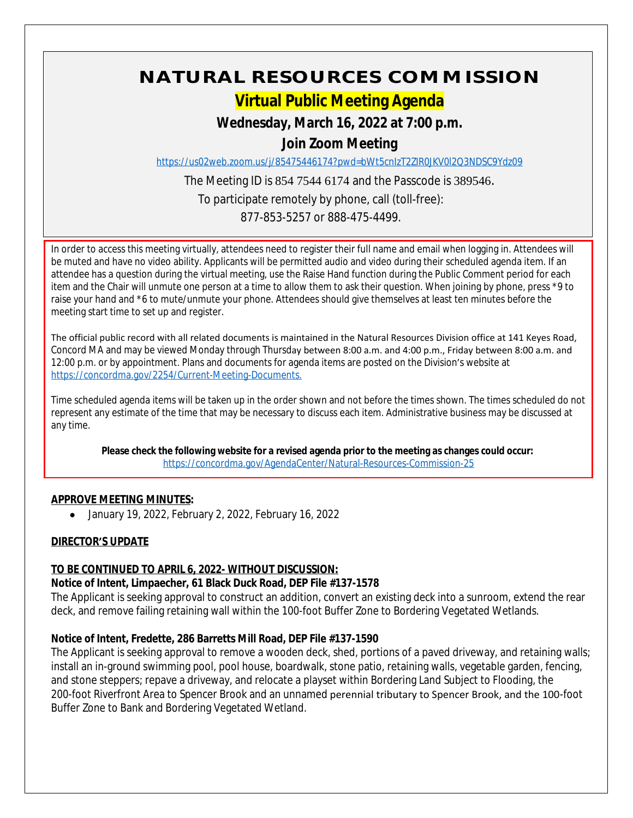# **NATURAL RESOURCES COMMISSION**

# **Virtual Public Meeting Agenda**

## **Wednesday, March 16, 2022 at 7:00 p.m.**

### **Join Zoom Meeting**

<https://us02web.zoom.us/j/85475446174?pwd=bWt5cnIzT2ZIR0JKV0l2Q3NDSC9Ydz09>

The Meeting ID is 854 7544 6174 and the Passcode is 389546. To participate remotely by phone, call (toll-free): 877-853-5257 or 888-475-4499.

In order to access this meeting virtually, attendees need to register their full name and email when logging in. Attendees will be muted and have no video ability. Applicants will be permitted audio and video during their scheduled agenda item. If an attendee has a question during the virtual meeting, use the Raise Hand function during the Public Comment period for each item and the Chair will unmute one person at a time to allow them to ask their question. When joining by phone, press \*9 to raise your hand and \*6 to mute/unmute your phone. Attendees should give themselves at least ten minutes before the meeting start time to set up and register.

The official public record with all related documents is maintained in the Natural Resources Division office at 141 Keyes Road, Concord MA and may be viewed Monday through Thursday between 8:00 a.m. and 4:00 p.m., Friday between 8:00 a.m. and 12:00 p.m. or by appointment. Plans and documents for agenda items are posted on the Division's website at [https://concordma.gov/2254/Current-Meeting-Documents.](https://concordma.gov/2254/Current-Meeting-Documents)

Time scheduled agenda items will be taken up in the order shown and not before the times shown. The times scheduled do not represent any estimate of the time that may be necessary to discuss each item. Administrative business may be discussed at any time.

**Please check the following website for a revised agenda prior to the meeting as changes could occur:**  <https://concordma.gov/AgendaCenter/Natural-Resources-Commission-25>

#### **APPROVE MEETING MINUTES:**

January 19, 2022, February 2, 2022, February 16, 2022

#### **DIRECTOR'S UPDATE**

#### **TO BE CONTINUED TO APRIL 6, 2022- WITHOUT DISCUSSION:**

#### **Notice of Intent, Limpaecher, 61 Black Duck Road, DEP File #137-1578**

The Applicant is seeking approval to construct an addition, convert an existing deck into a sunroom, extend the rear deck, and remove failing retaining wall within the 100-foot Buffer Zone to Bordering Vegetated Wetlands.

#### **Notice of Intent, Fredette, 286 Barretts Mill Road, DEP File #137-1590**

The Applicant is seeking approval to remove a wooden deck, shed, portions of a paved driveway, and retaining walls; install an in-ground swimming pool, pool house, boardwalk, stone patio, retaining walls, vegetable garden, fencing, and stone steppers; repave a driveway, and relocate a playset within Bordering Land Subject to Flooding, the 200-foot Riverfront Area to Spencer Brook and an unnamed perennial tributary to Spencer Brook, and the 100-foot Buffer Zone to Bank and Bordering Vegetated Wetland.